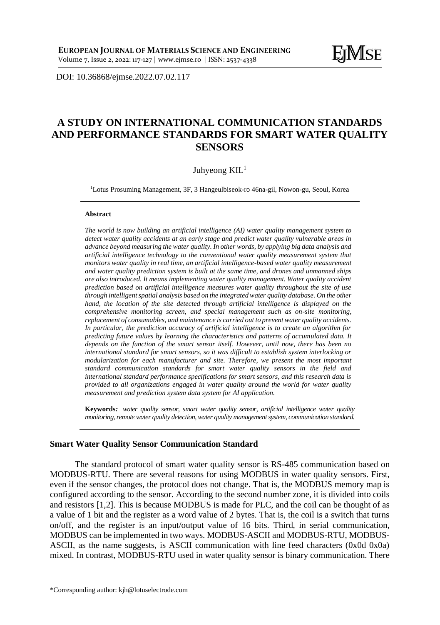DOI: [10.36868/ejmse.2022.07.02.1](http://ejmse.ro/articles/07_02_04_EJMSE-22-165.pdf)17

# **A STUDY ON INTERNATIONAL COMMUNICATION STANDARDS AND PERFORMANCE STANDARDS FOR SMART WATER QUALITY SENSORS**

Juhyeong KIL<sup>1</sup>

<sup>1</sup>Lotus Prosuming Management, 3F, 3 Hangeulbiseok-ro 46na-gil, Nowon-gu, Seoul, Korea

#### **Abstract**

*The world is now building an artificial intelligence (AI) water quality management system to detect water quality accidents at an early stage and predict water quality vulnerable areas in advance beyond measuring the water quality. In other words, by applying big data analysis and artificial intelligence technology to the conventional water quality measurement system that monitors water quality in real time, an artificial intelligence-based water quality measurement and water quality prediction system is built at the same time, and drones and unmanned ships are also introduced. It means implementing water quality management. Water quality accident prediction based on artificial intelligence measures water quality throughout the site of use through intelligent spatial analysis based on the integrated water quality database. On the other hand, the location of the site detected through artificial intelligence is displayed on the comprehensive monitoring screen, and special management such as on-site monitoring, replacement of consumables, and maintenance is carried out to prevent water quality accidents. In particular, the prediction accuracy of artificial intelligence is to create an algorithm for predicting future values by learning the characteristics and patterns of accumulated data. It depends on the function of the smart sensor itself. However, until now, there has been no international standard for smart sensors, so it was difficult to establish system interlocking or modularization for each manufacturer and site. Therefore, we present the most important standard communication standards for smart water quality sensors in the field and international standard performance specifications for smart sensors, and this research data is provided to all organizations engaged in water quality around the world for water quality measurement and prediction system data system for AI application.*

**Keywords***: water quality sensor, smart water quality sensor, artificial intelligence water quality monitoring, remote water quality detection, water quality management system, communication standard.*

#### **Smart Water Quality Sensor Communication Standard**

The standard protocol of smart water quality sensor is RS-485 communication based on MODBUS-RTU. There are several reasons for using MODBUS in water quality sensors. First, even if the sensor changes, the protocol does not change. That is, the MODBUS memory map is configured according to the sensor. According to the second number zone, it is divided into coils and resistors [1,2]. This is because MODBUS is made for PLC, and the coil can be thought of as a value of 1 bit and the register as a word value of 2 bytes. That is, the coil is a switch that turns on/off, and the register is an input/output value of 16 bits. Third, in serial communication, MODBUS can be implemented in two ways. MODBUS-ASCII and MODBUS-RTU, MODBUS-ASCII, as the name suggests, is ASCII communication with line feed characters (0x0d 0x0a) mixed. In contrast, MODBUS-RTU used in water quality sensor is binary communication. There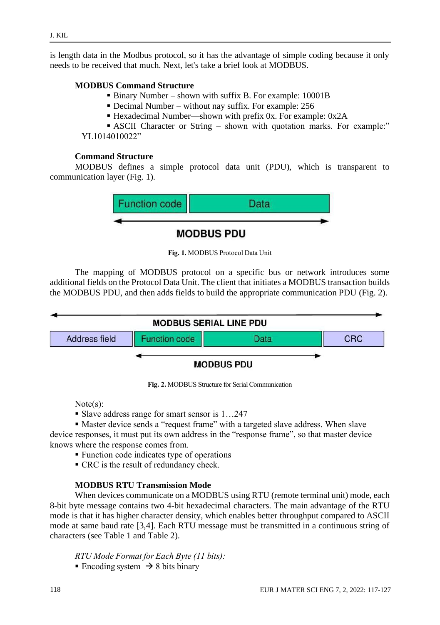is length data in the Modbus protocol, so it has the advantage of simple coding because it only needs to be received that much. Next, let's take a brief look at MODBUS.

## **MODBUS Command Structure**

- Binary Number shown with suffix B. For example: 10001B
- Decimal Number without nay suffix. For example: 256
- Hexadecimal Number—shown with prefix 0x. For example: 0x2A

**EXCII Character or String – shown with quotation marks. For example:**" YL1014010022"

### **Command Structure**

MODBUS defines a simple protocol data unit (PDU), which is transparent to communication layer (Fig. 1).



**Fig. 1.** MODBUS Protocol Data Unit

The mapping of MODBUS protocol on a specific bus or network introduces some additional fields on the Protocol Data Unit. The client that initiates a MODBUS transaction builds the MODBUS PDU, and then adds fields to build the appropriate communication PDU (Fig. 2).



**Fig. 2.** MODBUS Structure for Serial Communication

Note(s):

- Slave address range for smart sensor is 1...247
- Master device sends a "request frame" with a targeted slave address. When slave

device responses, it must put its own address in the "response frame", so that master device knows where the response comes from.

- Function code indicates type of operations
- CRC is the result of redundancy check.

# **MODBUS RTU Transmission Mode**

When devices communicate on a MODBUS using RTU (remote terminal unit) mode, each 8-bit byte message contains two 4-bit hexadecimal characters. The main advantage of the RTU mode is that it has higher character density, which enables better throughput compared to ASCII mode at same baud rate [3,4]. Each RTU message must be transmitted in a continuous string of characters (see Table 1 and Table 2).

*RTU Mode Formatfor Each Byte (11 bits):*

■ Encoding system  $\rightarrow$  8 bits binary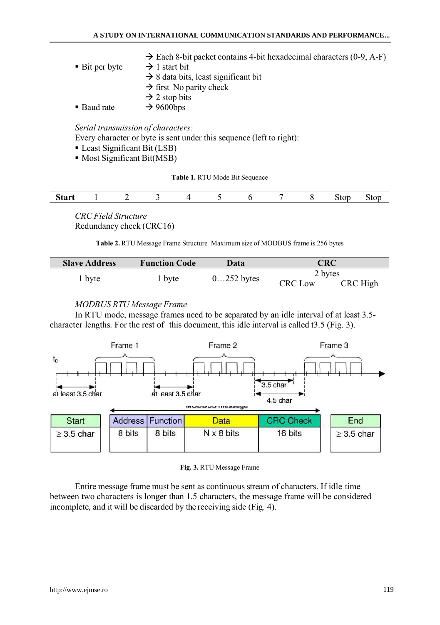|                             | $\rightarrow$ Each 8-bit packet contains 4-bit hexadecimal characters (0-9, A-F) |
|-----------------------------|----------------------------------------------------------------------------------|
| $\blacksquare$ Bit per byte | $\rightarrow$ 1 start bit                                                        |
|                             | $\rightarrow$ 8 data bits, least significant bit                                 |
|                             | $\rightarrow$ first No parity check                                              |
|                             | $\rightarrow$ 2 stop bits                                                        |
| • Baud rate                 | $\rightarrow$ 9600bps                                                            |

### *Serial transmission of characters:*

Every character or byte is sent under this sequence (left to right):

- **Least Significant Bit (LSB)**
- Most Significant Bit(MSB)

**Table 1.** RTU Mode Bit Sequence

|  | $-2.1$ |  |  |  |  |  |  |  |  | nю<br>. .<br>-- |  |
|--|--------|--|--|--|--|--|--|--|--|-----------------|--|
|--|--------|--|--|--|--|--|--|--|--|-----------------|--|

*CRC Field Structure* Redundancy check (CRC16)

**Table 2.** RTU Message Frame Structure Maximum size of MODBUS frame is 256 bytes

| <b>Slave Address</b> | <b>Function Code</b> | Data         | CRC            |          |  |
|----------------------|----------------------|--------------|----------------|----------|--|
|                      |                      | $0252$ bytes | 2 bytes        |          |  |
| 1 byte               | l byte               |              | <b>CRC</b> Low | CRC High |  |

### *MODBUS RTU Message Frame*

In RTU mode, message frames need to be separated by an idle interval of at least 3.5 character lengths. For the rest of this document, this idle interval is called t3.5 (Fig. 3).



#### **Fig. 3.** RTU Message Frame

Entire message frame must be sent as continuous stream of characters. If idle time between two characters is longer than 1.5 characters, the message frame will be considered incomplete, and it will be discarded by the receiving side (Fig. 4).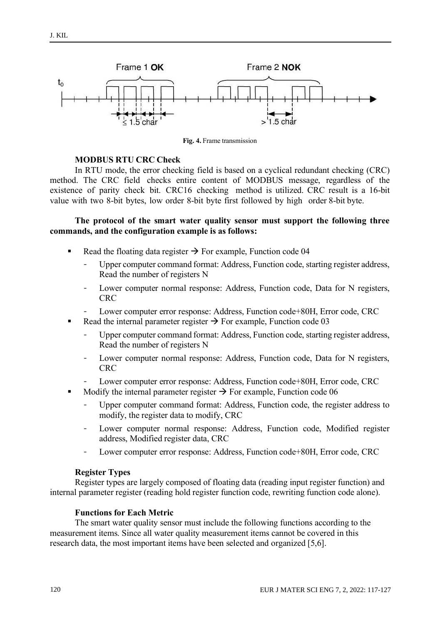

**Fig. 4.** Frame transmission

#### **MODBUS RTU CRC Check**

In RTU mode, the error checking field is based on a cyclical redundant checking (CRC) method. The CRC field checks entire content of MODBUS message, regardless of the existence of parity check bit. CRC16 checking method is utilized. CRC result is a 16-bit value with two 8-bit bytes, low order 8-bit byte first followed by high order 8-bit byte.

### **The protocol of the smart water quality sensor must support the following three commands, and the configuration example is as follows:**

- Read the floating data register  $\rightarrow$  For example, Function code 04
	- Upper computer command format: Address, Function code, starting register address, Read the number of registers N
	- Lower computer normal response: Address, Function code, Data for N registers, CRC
	- Lower computer error response: Address, Function code+80H, Error code, CRC
- Read the internal parameter register  $\rightarrow$  For example, Function code 03
	- Upper computer command format: Address, Function code, starting register address, Read the number of registers N
	- Lower computer normal response: Address, Function code, Data for N registers, **CRC**
	- Lower computer error response: Address, Function code+80H, Error code, CRC
- Modify the internal parameter register  $\rightarrow$  For example, Function code 06
	- Upper computer command format: Address, Function code, the register address to modify, the register data to modify, CRC
	- Lower computer normal response: Address, Function code, Modified register address, Modified register data, CRC
	- Lower computer error response: Address, Function code+80H, Error code, CRC

#### **Register Types**

Register types are largely composed of floating data (reading input register function) and internal parameter register (reading hold register function code, rewriting function code alone).

### **Functions for Each Metric**

The smart water quality sensor must include the following functions according to the measurement items. Since all water quality measurement items cannot be covered in this research data, the most important items have been selected and organized [5,6].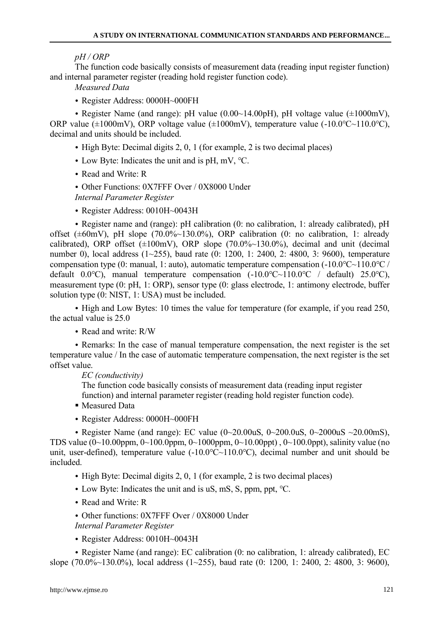*pH / ORP*

The function code basically consists of measurement data (reading input register function) and internal parameter register (reading hold register function code).

*Measured Data*

• Register Address: 0000H~000FH

• Register Name (and range): pH value (0.00 $\sim$ 14.00pH), pH voltage value ( $\pm 1000$ mV), ORP value ( $\pm 1000$ mV), ORP voltage value ( $\pm 1000$ mV), temperature value (-10.0°C $\sim$ 110.0°C), decimal and units should be included.

- High Byte: Decimal digits 2, 0, 1 (for example, 2 is two decimal places)
- Low Byte: Indicates the unit and is pH, mV, ℃.
- Read and Write: R
- Other Functions: 0X7FFF Over / 0X8000 Under *Internal Parameter Register*
- Register Address: 0010H~0043H

• Register name and (range): pH calibration (0: no calibration, 1: already calibrated), pH offset ( $\pm 60$ mV), pH slope (70.0%~130.0%), ORP calibration (0: no calibration, 1: already calibrated), ORP offset (±100mV), ORP slope (70.0%~130.0%), decimal and unit (decimal number 0), local address (1~255), baud rate (0: 1200, 1: 2400, 2: 4800, 3: 9600), temperature compensation type (0: manual, 1: auto), automatic temperature compensation  $(-10.0 °C - 110.0 °C)$ default 0.0°C), manual temperature compensation  $(-10.0 °C \sim 110.0 °C)$  default) 25.0°C), measurement type (0: pH, 1: ORP), sensor type (0: glass electrode, 1: antimony electrode, buffer solution type (0: NIST, 1: USA) must be included.

• High and Low Bytes: 10 times the value for temperature (for example, if you read 250, the actual value is 25.0

• Read and write: R/W

• Remarks: In the case of manual temperature compensation, the next register is the set temperature value / In the case of automatic temperature compensation, the next register is the set offset value.

*EC (conductivity)*

The function code basically consists of measurement data (reading input register function) and internal parameter register (reading hold register function code).

- Measured Data
- Register Address: 0000H~000FH

• Register Name (and range): EC value  $(0 \sim 20.00 \text{uS}, 0 \sim 200.0 \text{uS}, 0 \sim 2000 \text{uS} \sim 20.00 \text{mS})$ , TDS value (0~10.00ppm, 0~100.0ppm, 0~1000ppm, 0~10.00ppt) , 0~100.0ppt), salinity value (no unit, user-defined), temperature value (-10.0℃~110.0℃), decimal number and unit should be included.

- High Byte: Decimal digits 2, 0, 1 (for example, 2 is two decimal places)
- Low Byte: Indicates the unit and is uS, mS, S, ppm, ppt, ℃.
- Read and Write: R
- Other functions: 0X7FFF Over / 0X8000 Under

*Internal Parameter Register*

• Register Address: 0010H~0043H

• Register Name (and range): EC calibration (0: no calibration, 1: already calibrated), EC slope (70.0%~130.0%), local address (1~255), baud rate (0: 1200, 1: 2400, 2: 4800, 3: 9600),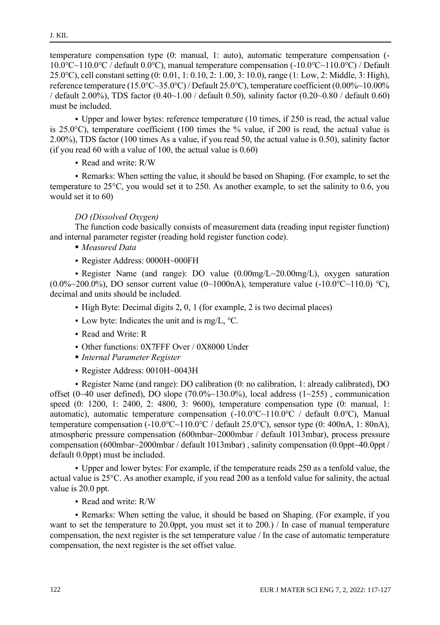temperature compensation type (0: manual, 1: auto), automatic temperature compensation (- 10.0℃~110.0℃ / default 0.0℃), manual temperature compensation (-10.0℃~110.0℃) / Default 25.0℃), cell constant setting (0: 0.01, 1: 0.10, 2: 1.00, 3: 10.0), range (1: Low, 2: Middle, 3: High), reference temperature (15.0℃~35.0℃) / Default 25.0℃), temperature coefficient (0.00%~10.00% / default 2.00%), TDS factor (0.40~1.00 / default 0.50), salinity factor (0.20~0.80 / default 0.60) must be included.

• Upper and lower bytes: reference temperature (10 times, if 250 is read, the actual value is 25.0 $\degree$ C), temperature coefficient (100 times the % value, if 200 is read, the actual value is 2.00%), TDS factor (100 times As a value, if you read 50, the actual value is 0.50), salinity factor (if you read  $60$  with a value of 100, the actual value is  $0.60$ )

• Read and write: R/W

• Remarks: When setting the value, it should be based on Shaping. (For example, to set the temperature to 25°C, you would set it to 250. As another example, to set the salinity to 0.6, you would set it to 60)

### *DO (Dissolved Oxygen)*

The function code basically consists of measurement data (reading input register function) and internal parameter register (reading hold register function code).

- *Measured Data*
- Register Address: 0000H~000FH

• Register Name (and range): DO value (0.00mg/L~20.00mg/L), oxygen saturation  $(0.0\%~200.0\%)$ , DO sensor current value  $(0~1000n)$ , temperature value  $(-10.0\degree C~110.0\degree C)$ , decimal and units should be included.

- High Byte: Decimal digits 2, 0, 1 (for example, 2 is two decimal places)
- Low byte: Indicates the unit and is mg/L, ℃.
- Read and Write: R
- Other functions: 0X7FFF Over / 0X8000 Under
- *Internal Parameter Register*
- Register Address: 0010H~0043H

• Register Name (and range): DO calibration (0: no calibration, 1: already calibrated), DO offset (0~40 user defined), DO slope (70.0%~130.0%), local address (1~255), communication speed (0: 1200, 1: 2400, 2: 4800, 3: 9600), temperature compensation type (0: manual, 1: automatic), automatic temperature compensation (-10.0℃~110.0℃ / default 0.0℃), Manual temperature compensation  $(-10.0 °C \sim 110.0 °C / \text{default } 25.0 °C)$ , sensor type  $(0: 400 nA, 1: 80 nA)$ , atmospheric pressure compensation (600mbar~2000mbar / default 1013mbar), process pressure compensation (600mbar~2000mbar / default 1013mbar) , salinity compensation (0.0ppt~40.0ppt / default 0.0ppt) must be included.

• Upper and lower bytes: For example, if the temperature reads 250 as a tenfold value, the actual value is 25°C. As another example, if you read 200 as a tenfold value for salinity, the actual value is 20.0 ppt.

• Read and write: R/W

• Remarks: When setting the value, it should be based on Shaping. (For example, if you want to set the temperature to 20.0ppt, you must set it to 200.) / In case of manual temperature compensation, the next register is the set temperature value / In the case of automatic temperature compensation, the next register is the set offset value.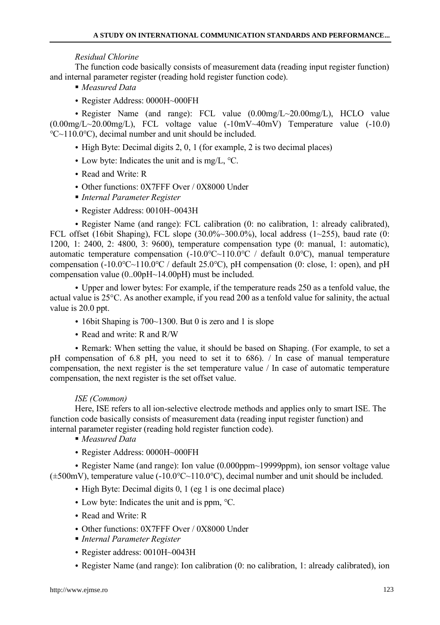### *Residual Chlorine*

The function code basically consists of measurement data (reading input register function) and internal parameter register (reading hold register function code).

- *Measured Data*
- Register Address: 0000H~000FH

• Register Name (and range): FCL value (0.00mg/L~20.00mg/L), HCLO value  $(0.00 \text{mg/L} \sim 20.00 \text{mg/L})$ , FCL voltage value  $(-10 \text{mV} \sim 40 \text{mV})$  Temperature value  $(-10.0)$ ℃~110.0℃), decimal number and unit should be included.

- High Byte: Decimal digits 2, 0, 1 (for example, 2 is two decimal places)
- Low byte: Indicates the unit and is mg/L, ℃.
- Read and Write: R
- Other functions: 0X7FFF Over / 0X8000 Under
- *Internal Parameter Register*
- Register Address: 0010H~0043H

• Register Name (and range): FCL calibration (0: no calibration, 1: already calibrated), FCL offset (16bit Shaping), FCL slope  $(30.0\% \sim 300.0\%)$ , local address  $(1 \sim 255)$ , baud rate  $(0:$ 1200, 1: 2400, 2: 4800, 3: 9600), temperature compensation type (0: manual, 1: automatic), automatic temperature compensation  $(-10.0 °C~110.0 °C /$  default  $0.0 °C$ ), manual temperature compensation (-10.0℃~110.0℃ / default 25.0℃), pH compensation (0: close, 1: open), and pH compensation value (0..00pH~14.00pH) must be included.

• Upper and lower bytes: For example, if the temperature reads 250 as a tenfold value, the actual value is 25°C. As another example, if you read 200 as a tenfold value for salinity, the actual value is 20.0 ppt.

- 16 bit Shaping is 700~1300. But 0 is zero and 1 is slope
- Read and write: R and R/W

• Remark: When setting the value, it should be based on Shaping. (For example, to set a pH compensation of 6.8 pH, you need to set it to 686). / In case of manual temperature compensation, the next register is the set temperature value / In case of automatic temperature compensation, the next register is the set offset value.

### *ISE (Common)*

Here, ISE refers to all ion-selective electrode methods and applies only to smart ISE. The function code basically consists of measurement data (reading input register function) and internal parameter register (reading hold register function code).

- *Measured Data*
- Register Address: 0000H~000FH

• Register Name (and range): Ion value (0.000ppm~19999ppm), ion sensor voltage value (±500mV), temperature value (-10.0℃~110.0℃), decimal number and unit should be included.

- High Byte: Decimal digits 0, 1 (eg 1 is one decimal place)
- Low byte: Indicates the unit and is ppm, ℃.
- Read and Write: R
- Other functions: 0X7FFF Over / 0X8000 Under
- *Internal Parameter Register*
- Register address: 0010H~0043H
- Register Name (and range): Ion calibration (0: no calibration, 1: already calibrated), ion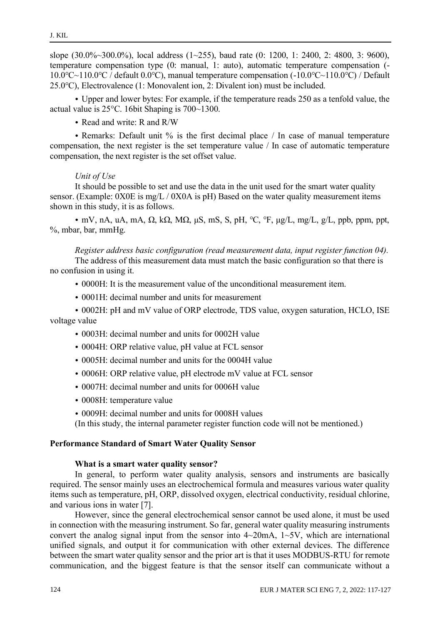slope  $(30.0\% \sim 300.0\%)$ , local address  $(1 \sim 255)$ , baud rate  $(0: 1200, 1: 2400, 2: 4800, 3: 9600)$ , temperature compensation type (0: manual, 1: auto), automatic temperature compensation (- 10.0℃~110.0℃ / default 0.0℃), manual temperature compensation (-10.0℃~110.0℃) / Default 25.0℃), Electrovalence (1: Monovalent ion, 2: Divalent ion) must be included.

• Upper and lower bytes: For example, if the temperature reads 250 as a tenfold value, the actual value is 25°C. 16bit Shaping is 700~1300.

• Read and write: R and R/W

• Remarks: Default unit % is the first decimal place / In case of manual temperature compensation, the next register is the set temperature value / In case of automatic temperature compensation, the next register is the set offset value.

### *Unit of Use*

It should be possible to set and use the data in the unit used for the smart water quality sensor. (Example: 0X0E is mg/L / 0X0A is pH) Based on the water quality measurement items shown in this study, it is as follows.

• mV, nA, uA, mA,  $\Omega$ , k $\Omega$ , M $\Omega$ , uS, mS, S, pH, °C, °F, ug/L, mg/L, g/L, ppb, ppm, ppt, %, mbar, bar, mmHg.

*Register address basic configuration (read measurement data, input register function 04).* 

The address of this measurement data must match the basic configuration so that there is no confusion in using it.

- 0000H: It is the measurement value of the unconditional measurement item.
- 0001H: decimal number and units for measurement

• 0002H: pH and mV value of ORP electrode, TDS value, oxygen saturation, HCLO, ISE voltage value

- 0003H: decimal number and units for 0002H value
- 0004H: ORP relative value, pH value at FCL sensor
- 0005H: decimal number and units for the 0004H value
- 0006H: ORP relative value, pH electrode mV value at FCL sensor
- 0007H: decimal number and units for 0006H value
- 0008H: temperature value
- 0009H: decimal number and units for 0008H values

(In this study, the internal parameter register function code will not be mentioned.)

### **Performance Standard of Smart Water Quality Sensor**

### **What is a smart water quality sensor?**

In general, to perform water quality analysis, sensors and instruments are basically required. The sensor mainly uses an electrochemical formula and measures various water quality items such as temperature, pH, ORP, dissolved oxygen, electrical conductivity, residual chlorine, and various ions in water [7].

However, since the general electrochemical sensor cannot be used alone, it must be used in connection with the measuring instrument. So far, general water quality measuring instruments convert the analog signal input from the sensor into  $4\sim20$  mA,  $1\sim5$ V, which are international unified signals, and output it for communication with other external devices. The difference between the smart water quality sensor and the prior art is that it uses MODBUS-RTU for remote communication, and the biggest feature is that the sensor itself can communicate without a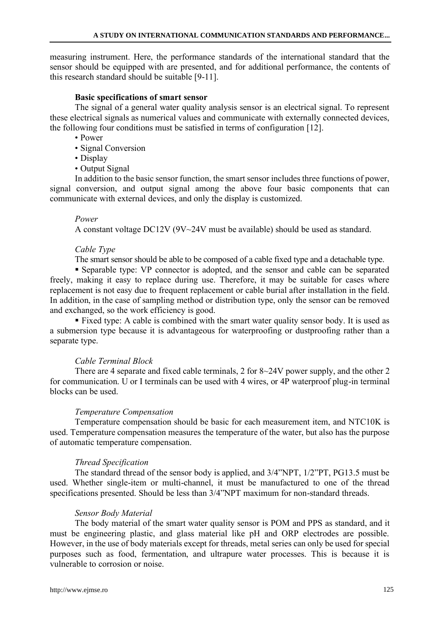measuring instrument. Here, the performance standards of the international standard that the sensor should be equipped with are presented, and for additional performance, the contents of this research standard should be suitable [9-11].

### **Basic specifications of smart sensor**

The signal of a general water quality analysis sensor is an electrical signal. To represent these electrical signals as numerical values and communicate with externally connected devices, the following four conditions must be satisfied in terms of configuration [12].

- Power
- Signal Conversion
- Display
- Output Signal

In addition to the basic sensor function, the smart sensor includes three functions of power, signal conversion, and output signal among the above four basic components that can communicate with external devices, and only the display is customized.

#### *Power*

A constant voltage DC12V (9V~24V must be available) should be used as standard.

#### *Cable Type*

The smart sensor should be able to be composed of a cable fixed type and a detachable type.

▪ Separable type: VP connector is adopted, and the sensor and cable can be separated freely, making it easy to replace during use. Therefore, it may be suitable for cases where replacement is not easy due to frequent replacement or cable burial after installation in the field. In addition, in the case of sampling method or distribution type, only the sensor can be removed and exchanged, so the work efficiency is good.

■ Fixed type: A cable is combined with the smart water quality sensor body. It is used as a submersion type because it is advantageous for waterproofing or dustproofing rather than a separate type.

### *Cable Terminal Block*

There are 4 separate and fixed cable terminals, 2 for 8~24V power supply, and the other 2 for communication. U or I terminals can be used with 4 wires, or 4P waterproof plug-in terminal blocks can be used.

#### *Temperature Compensation*

Temperature compensation should be basic for each measurement item, and NTC10K is used. Temperature compensation measures the temperature of the water, but also has the purpose of automatic temperature compensation.

#### *Thread Specification*

The standard thread of the sensor body is applied, and 3/4"NPT, 1/2"PT, PG13.5 must be used. Whether single-item or multi-channel, it must be manufactured to one of the thread specifications presented. Should be less than 3/4"NPT maximum for non-standard threads.

#### *Sensor Body Material*

The body material of the smart water quality sensor is POM and PPS as standard, and it must be engineering plastic, and glass material like pH and ORP electrodes are possible. However, in the use of body materials except for threads, metal series can only be used for special purposes such as food, fermentation, and ultrapure water processes. This is because it is vulnerable to corrosion or noise.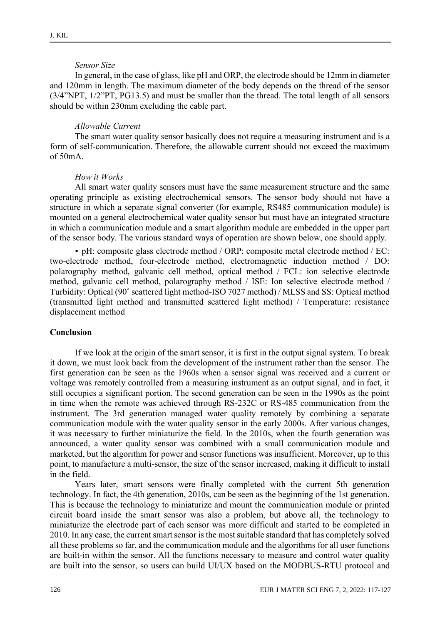### *Sensor Size*

In general, in the case of glass, like pH and ORP, the electrode should be 12mm in diameter and 120mm in length. The maximum diameter of the body depends on the thread of the sensor (3/4"NPT, 1/2"PT, PG13.5) and must be smaller than the thread. The total length of all sensors should be within 230mm excluding the cable part.

#### *Allowable Current*

The smart water quality sensor basically does not require a measuring instrument and is a form of self-communication. Therefore, the allowable current should not exceed the maximum  $of 50mA$ 

#### *How it Works*

All smart water quality sensors must have the same measurement structure and the same operating principle as existing electrochemical sensors. The sensor body should not have a structure in which a separate signal converter (for example, RS485 communication module) is mounted on a general electrochemical water quality sensor but must have an integrated structure in which a communication module and a smart algorithm module are embedded in the upper part of the sensor body. The various standard ways of operation are shown below, one should apply.

• pH: composite glass electrode method / ORP: composite metal electrode method / EC: two-electrode method, four-electrode method, electromagnetic induction method / DO: polarography method, galvanic cell method, optical method / FCL: ion selective electrode method, galvanic cell method, polarography method / ISE: Ion selective electrode method / Turbidity: Optical (90˚ scattered light method-ISO 7027 method) / MLSS and SS: Optical method (transmitted light method and transmitted scattered light method) / Temperature: resistance displacement method

#### **Conclusion**

If we look at the origin of the smart sensor, it is first in the output signal system. To break it down, we must look back from the development of the instrument rather than the sensor. The first generation can be seen as the 1960s when a sensor signal was received and a current or voltage was remotely controlled from a measuring instrument as an output signal, and in fact, it still occupies a significant portion. The second generation can be seen in the 1990s as the point in time when the remote was achieved through RS-232C or RS-485 communication from the instrument. The 3rd generation managed water quality remotely by combining a separate communication module with the water quality sensor in the early 2000s. After various changes, it was necessary to further miniaturize the field. In the 2010s, when the fourth generation was announced, a water quality sensor was combined with a small communication module and marketed, but the algorithm for power and sensor functions was insufficient. Moreover, up to this point, to manufacture a multi-sensor, the size of the sensor increased, making it difficult to install in the field.

Years later, smart sensors were finally completed with the current 5th generation technology. In fact, the 4th generation, 2010s, can be seen as the beginning of the 1st generation. This is because the technology to miniaturize and mount the communication module or printed circuit board inside the smart sensor was also a problem, but above all, the technology to miniaturize the electrode part of each sensor was more difficult and started to be completed in 2010. In any case, the current smart sensor is the most suitable standard that has completely solved all these problems so far, and the communication module and the algorithms for all user functions are built-in within the sensor. All the functions necessary to measure and control water quality are built into the sensor, so users can build UI/UX based on the MODBUS-RTU protocol and